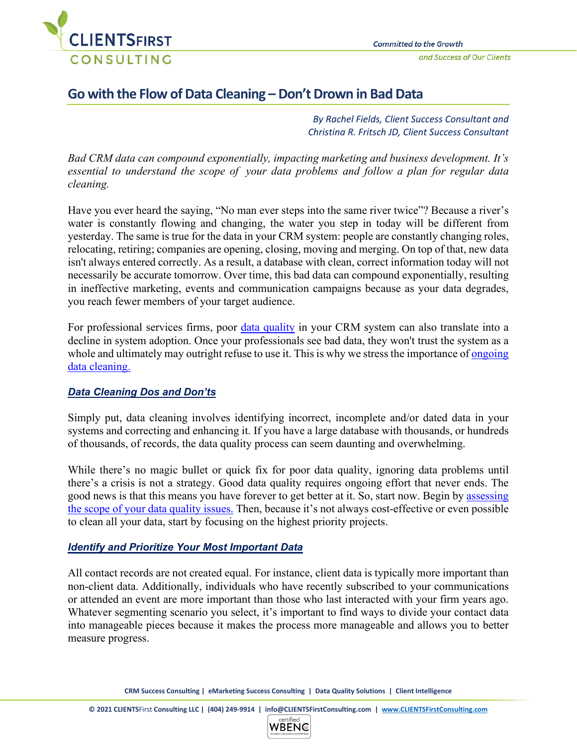

# **Go with the Flow of Data Cleaning – Don't Drown in Bad Data**

*By Rachel Fields, Client Success Consultant and Christina R. Fritsch JD, Client Success Consultant*

*Bad CRM data can compound exponentially, impacting marketing and business development. It's essential to understand the scope of your data problems and follow a plan for regular data cleaning.* 

Have you ever heard the saying, "No man ever steps into the same river twice"? Because a river's water is constantly flowing and changing, the water you step in today will be different from yesterday. The same is true for the data in your CRM system: people are constantly changing roles, relocating, retiring; companies are opening, closing, moving and merging. On top of that, new data isn't always entered correctly. As a result, a database with clean, correct information today will not necessarily be accurate tomorrow. Over time, this bad data can compound exponentially, resulting in ineffective marketing, events and communication campaigns because as your data degrades, you reach fewer members of your target audience.

For professional services firms, poor [data quality](https://clientsfirstconsulting.com/data-quality/) in your CRM system can also translate into a decline in system adoption. Once your professionals see bad data, they won't trust the system as a whole and ultimately may outright refuse to use it. This is why we stress the importance of ongoing [data cleaning.](https://clientsfirstconsulting.com/services/true-dq-data-quality-solution/)

# *Data Cleaning Dos and Don'ts*

Simply put, data cleaning involves identifying incorrect, incomplete and/or dated data in your systems and correcting and enhancing it. If you have a large database with thousands, or hundreds of thousands, of records, the data quality process can seem daunting and overwhelming.

While there's no magic bullet or quick fix for poor data quality, ignoring data problems until there's a crisis is not a strategy. Good data quality requires ongoing effort that never ends. The good news is that this means you have forever to get better at it. So, start now. Begin by [assessing](https://clientsfirstconsulting.com/the-dirty-data-domino-effect-its-not-just-a-crm-problem-part-2/)  the [scope of your data quality issues.](https://clientsfirstconsulting.com/the-dirty-data-domino-effect-its-not-just-a-crm-problem-part-2/) Then, because it's not always cost-effective or even possible to clean all your data, start by focusing on the highest priority projects.

### *Identify and Prioritize Your Most Important Data*

All contact records are not created equal. For instance, client data is typically more important than non-client data. Additionally, individuals who have recently subscribed to your communications or attended an event are more important than those who last interacted with your firm years ago. Whatever segmenting scenario you select, it's important to find ways to divide your contact data into manageable pieces because it makes the process more manageable and allows you to better measure progress.

**CRM Success Consulting | eMarketing Success Consulting | Data Quality Solutions | Client Intelligence**

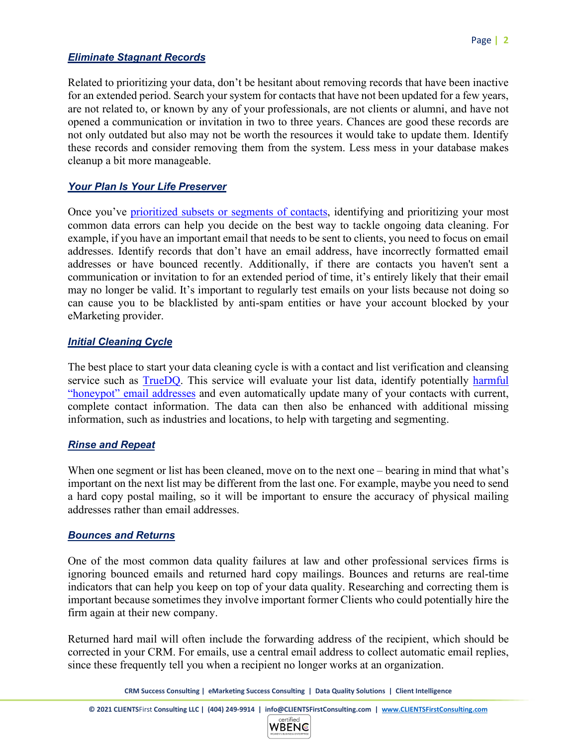# *Eliminate Stagnant Records*

Related to prioritizing your data, don't be hesitant about removing records that have been inactive for an extended period. Search your system for contacts that have not been updated for a few years, are not related to, or known by any of your professionals, are not clients or alumni, and have not opened a communication or invitation in two to three years. Chances are good these records are not only outdated but also may not be worth the resources it would take to update them. Identify these records and consider removing them from the system. Less mess in your database makes cleanup a bit more manageable.

# *Your Plan Is Your Life Preserver*

Once you've [prioritized subsets or segments of contacts,](https://clientsfirstconsulting.com/go-with-the-flow-of-data-cleaning-dont-drown-in-bad-data/) identifying and prioritizing your most common data errors can help you decide on the best way to tackle ongoing data cleaning. For example, if you have an important email that needs to be sent to clients, you need to focus on email addresses. Identify records that don't have an email address, have incorrectly formatted email addresses or have bounced recently. Additionally, if there are contacts you haven't sent a communication or invitation to for an extended period of time, it's entirely likely that their email may no longer be valid. It's important to regularly test emails on your lists because not doing so can cause you to be blacklisted by anti-spam entities or have your account blocked by your eMarketing provider.

## *Initial Cleaning Cycle*

The best place to start your data cleaning cycle is with a contact and list verification and cleansing service such as [TrueDQ.](https://clientsfirstconsulting.com/services/data-quality-solutions/) This service will evaluate your list data, identify potentially harmful ["honeypot" email addresses](https://clientsfirstconsulting.com/ten-tips-to-prevent-email-blacklisting/) and even automatically update many of your contacts with current, complete contact information. The data can then also be enhanced with additional missing information, such as industries and locations, to help with targeting and segmenting.

### *Rinse and Repeat*

When one segment or list has been cleaned, move on to the next one – bearing in mind that what's important on the next list may be different from the last one. For example, maybe you need to send a hard copy postal mailing, so it will be important to ensure the accuracy of physical mailing addresses rather than email addresses.

### *Bounces and Returns*

One of the most common data quality failures at law and other professional services firms is ignoring bounced emails and returned hard copy mailings. Bounces and returns are real-time indicators that can help you keep on top of your data quality. Researching and correcting them is important because sometimes they involve important former Clients who could potentially hire the firm again at their new company.

Returned hard mail will often include the forwarding address of the recipient, which should be corrected in your CRM. For emails, use a central email address to collect automatic email replies, since these frequently tell you when a recipient no longer works at an organization.

**CRM Success Consulting | eMarketing Success Consulting | Data Quality Solutions | Client Intelligence**